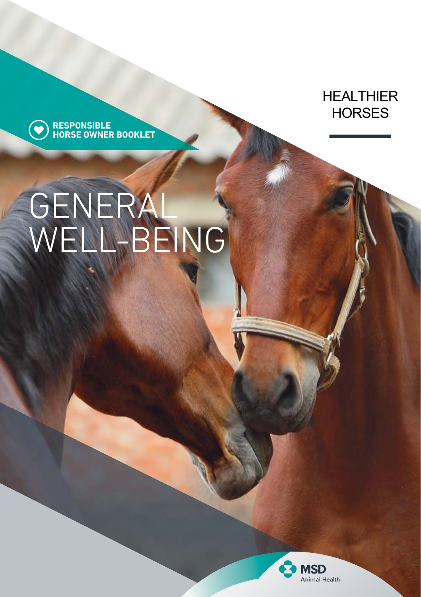**HEALTHIER HORSES** 

**RESPONSIBLE HORSE OWNER BOOKLET**

 $\bullet$ 

# GENERAL WELL-BEING

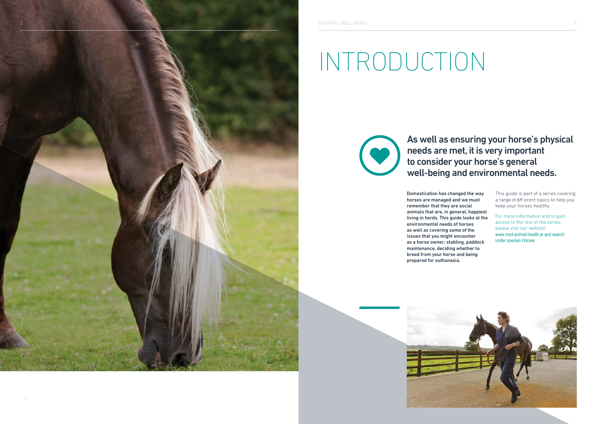

# INTRODUCTION

As well as ensuring your horse's physical needs are met, it is very important to consider your horse's general well-being and environmental needs.

Domestication has changed the way horses are managed and we must remember that they are social animals that are, in general, happiest living in herds. This guide looks at the environmental needs of horses as well as covering some of the issues that you might encounter as a horse owner; stabling, paddock maintenance, deciding whether to breed from your horse and being prepared for euthanasia.

This guide is part of a series covering a range of diff erent topics to help you keep your horses healthy.

For more information and to gain access to the rest of the series, please visit our website: www.msd-animal-health.ie and search under species Horses

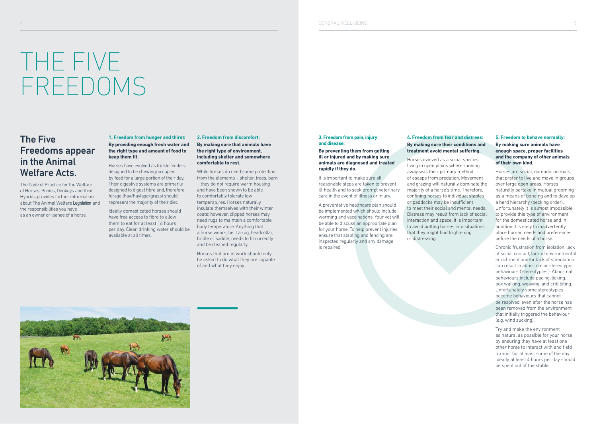# THE FIVE FREEDOMS

## The Five Freedoms appear in the Animal Welfare Acts.

The Code of Practice for the Welfare of Horses, Ponies, Donkeys and their Hybrids provides further information about The Animal Welfare Legislation and the responsibilities you have as an owner or loanee of a horse.

### **1. Freedom from hunger and thirst: By providing enough fresh water and the right type and amount of food to**  keep them fit.

Horses have evolved as trickle feeders, designed to be chewing/occupied by feed for a large portion of their day. Their digestive systems are primarily designed to digest fibre and, therefore, forage (hay/haylage/grass) should represent the majority of their diet.

Ideally domesticated horses should have free access to fibre to allow them to eat for at least 16 hours per day. Clean drinking water should be available at all times.

#### **2. Freedom from discomfort: By making sure that animals have the right type of environment, including shelter and somewhere comfortable to rest.**

While horses do need some protection from the elements – shelter, trees, barn – they do not require warm housing and have been shown to be able to comfortably tolerate low temperatures. Horses naturally insulate themselves with their winter coats; however, clipped horses may need rugs to maintain a comfortable body temperature. Anything that a horse wears, be it a rug, headcollar, bridle or saddle, needs to fit correctly and be cleaned regularly.

Horses that are in work should only be asked to do what they are capable of and what they enjoy.

### **3. Freedom from pain, injury and disease:**

**By preventing them from getting ill or injured and by making sure animals are diagnosed and treated rapidly if they do.**

It is important to make sure all reasonable steps are taken to prevent ill-health and to seek prompt veterinary care in the event of illness or injury.

A preventative healthcare plan should be implemented which should include worming and vaccinations. Your vet will be able to discuss an appropriate plan for your horse. To help prevent injuries, ensure that stabling and fencing are inspected regularly and any damage is repaired.

### **4. Freedom from fear and distress: By making sure their conditions and treatment avoid mental suffering.**

Horses evolved as a social species living in open plains where running away was their primary method of escape from predation. Movement and grazing will naturally dominate the majority of a horse's time. Therefore, confining horses to individual stables or paddocks may be insufficient to meet their social and mental needs. Distress may result from lack of social interaction and space. It is important to avoid putting horses into situations that they might find frightening or distressing.

### **5. Freedom to behave normally: By making sure animals have enough space, proper facilities and the company of other animals of their own kind.**

Horses are social, nomadic animals that prefer to live and move in groups over large open areas. Horses naturally partake in mutual grooming as a means of bonding and to develop a herd hierarchy (pecking order). Unfortunately it is almost impossible to provide this type of environment for the domesticated horse and in addition it is easy to inadvertently place human needs and preferences before the needs of a horse.

Chronic frustration from isolation, lack of social contact, lack of environmental enrichment and/or lack of stimulation can result in abnormal or stereotypic behaviours ('stereotypies'). Abnormal behaviours include pacing, licking, box walking, weaving, and crib biting. Unfortunately some stereotypies become behaviours that cannot be resolved, even after the horse has been removed from the environment that initially triggered the behaviour (e.g. wind sucking).

Try and make the environment as natural as possible for your horse by ensuring they have at least one other horse to interact with and field turnout for at least some of the day. Ideally at least 4 hours per day should be spent out of the stable.

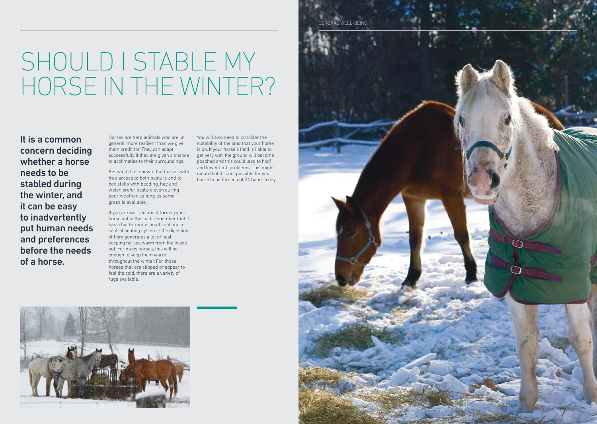# SHOULD I STABLE MY HORSE IN THE WINTER?

It is a common concern deciding whether a horse needs to be stabled during the winter, and it can be easy to inadvertently put human needs and preferences before the needs of a horse.

Horses are herd animals who are, in general, more resilient than we give them credit for. They can adapt successfully if they are given a chance to acclimatise to their surroundings.

Research has shown that horses with free access to both pasture and to box stalls with bedding, hay and water, prefer pasture even during poor weather as long as some grass is available.

If you are worried about turning your horse out in the cold, remember that it has a built-in waterproof coat and a central heating system – the digestion of fibre generates a lot of heat, keeping horses warm from the inside out. For many horses, this will be enough to keep them warm throughout the winter. For those horses that are clipped or appear to feel the cold, there are a variety of rugs available.

You will also need to consider the suitability of the land that your horse is on. If your horse's field is liable to get very wet, the ground will become poached and this could lead to hoof and lower limb problems. This might mean that it is not possible for your horse to be turned out 24 hours a day.



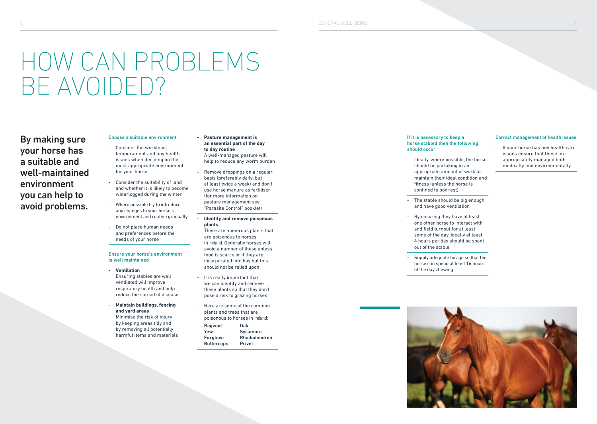# HOW CAN PROBLEMS BE AVOIDED?

By making sure your horse has a suitable and well-maintained environment you can help to avoid problems.

### Choose a suitable environment

- Consider the workload. temperament and any health issues when deciding on the most appropriate environment for your horse
- Consider the suitability of land and whether it is likely to become waterlogged during the winter
- Where possible try to introduce any changes to your horse's environment and routine gradually
- Do not place human needs and preferences before the needs of your horse

#### Ensure your horse's environment is well maintained

- **Ventilation** Ensuring stables are well ventilated will improve respiratory health and help reduce the spread of disease
- **Maintain buildings, fencing and yard areas** Minimise the risk of injury
- by keeping areas tidy and by removing all potentially harmful items and materials

#### - **Pasture management is an essential part of the day to day routine**

- A well-managed pasture will help to reduce any worm burden
- Remove droppings on a regular basis (preferably daily, but at least twice a week) and don't use horse manure as fertiliser (for more information on pasture management see "Parasite Control" booklet)

#### - **Identify and remove poisonous plants**

- There are numerous plants that are poisonous to horses in Ireland. Generally horses will avoid a number of these unless food is scarce or if they are incorporated into hay but this should not be relied upon
- It is really important that we can identify and remove these plants so that they don't pose a risk to grazing horses
- Here are some of the common plants and trees that are poisonous to horses in Ireland:
- Ragwort Oak<br>Yew Svca Yew Sycamore<br>Foxglove Rhododen **Rhododendron** Buttercups Privet

#### If it is necessary to keep a horse stabled then the following should occur

- Ideally, where possible, the horse should be partaking in an appropriate amount of work to maintain their ideal condition and fitness (unless the horse is confined to box rest)
- The stable should be big enough and have good ventilation
- By ensuring they have at least one other horse to interact with and field turnout for at least some of the day. Ideally at least 4 hours per day should be spent out of the stable
- Supply adequate forage so that the horse can spend at least 16 hours of the day chewing



appropriately managed both medically and environmentally

Correct management of health issues

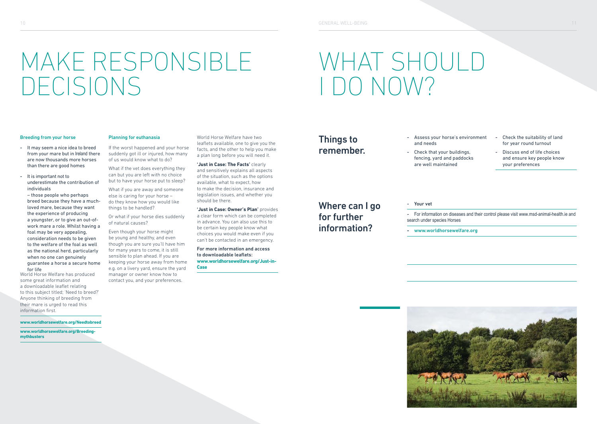# MAKE RESPONSIBI F DECISIONS

# WHAT SHOULD I DO NOW?

#### Breeding from your horse

- It may seem a nice idea to breed from your mare but in Ireland there are now thousands more horses than there are good homes
- It is important not to underestimate the contribution of individuals

– those people who perhaps breed because they have a muchloved mare, because they want the experience of producing a youngster, or to give an out-ofwork mare a role. Whilst having a foal may be very appealing, consideration needs to be given to the welfare of the foal as well as the national herd, particularly when no one can genuinely guarantee a horse a secure home for life

World Horse Welfare has produced some great information and a downloadable leaflet relating to this subject titled; 'Need to breed?' Anyone thinking of breeding from their mare is urged to read this information first.

#### **www.worldhorsewelfare.org/Needtobreed**

**www.worldhorsewelfare.org/Breedingmythbusters**

### Planning for euthanasia

If the worst happened and your horse suddenly got ill or injured, how many of us would know what to do?

What if the vet does everything they can but you are left with no choice but to have your horse put to sleep?

What if you are away and someone else is caring for your horse – do they know how you would like things to be handled?

Or what if your horse dies suddenly of natural causes?

Even though your horse might be young and healthy, and even though you are sure you'll have him for many years to come, it is still sensible to plan ahead. If you are keeping your horse away from home e.g. on a livery yard, ensure the yard manager or owner know how to contact you, and your preferences.

World Horse Welfare have two leaflets available, one to give you the facts, and the other to help you make a plan long before you will need it.

**'Just in Case: The Facts'** clearly and sensitively explains all aspects of the situation, such as the options available, what to expect, how to make the decision, insurance and legislation issues, and whether you should be there.

**'Just in Case: Owner's Plan'** provides a clear form which can be completed in advance. You can also use this to be certain key people know what choices you would make even if you can't be contacted in an emergency.

For more information and access to downloadable leaflets: **www.worldhorsewelfare.org/Just-in-Case**

## Things to remember.

and needs - Check that your buildings,

- Assess your horse's environment

fencing, yard and paddocks are well maintained

- Check the suitability of land for year round turnout
- Discuss end of life choices and ensure key people know your preferences

Where can I go for further information?

### - Your vet

- For information on diseases and their control please visit www.msd-animal-health.ie and search under species Horses

**-** www.worldhorsewelfare.org